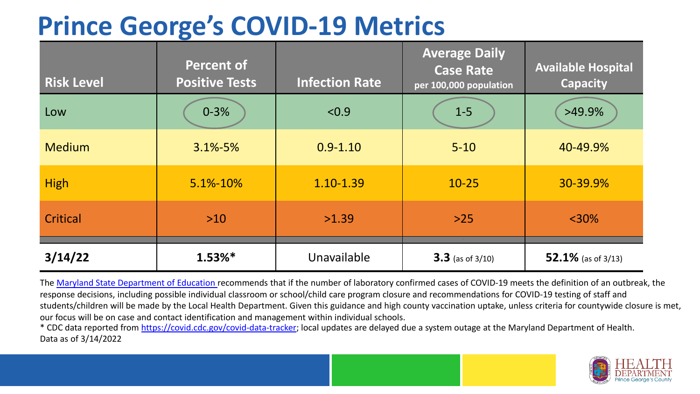# **Prince George's COVID-19 Metrics**

| <b>Risk Level</b> | <b>Percent of</b><br><b>Positive Tests</b> | <b>Infection Rate</b> | <b>Average Daily</b><br><b>Case Rate</b><br>per 100,000 population | <b>Available Hospital</b><br><b>Capacity</b> |
|-------------------|--------------------------------------------|-----------------------|--------------------------------------------------------------------|----------------------------------------------|
| Low               | $0 - 3%$                                   | < 0.9                 | $1-5$                                                              | $>49.9\%$                                    |
| <b>Medium</b>     | $3.1\% - 5\%$                              | $0.9 - 1.10$          | $5 - 10$                                                           | 40-49.9%                                     |
| <b>High</b>       | 5.1%-10%                                   | 1.10-1.39             | $10 - 25$                                                          | 30-39.9%                                     |
| Critical          | $>10$                                      | >1.39                 | $>25$                                                              | $<$ 30%                                      |
| 3/14/22           | $1.53%$ *                                  | Unavailable           | $3.3$ (as of 3/10)                                                 | 52.1% (as of $3/13$ )                        |

The [Maryland State Department of Education](https://earlychildhood.marylandpublicschools.org/system/files/filedepot/3/covid_guidance_full_080420.pdf) recommends that if the number of laboratory confirmed cases of COVID-19 meets the definition of an outbreak, the response decisions, including possible individual classroom or school/child care program closure and recommendations for COVID-19 testing of staff and students/children will be made by the Local Health Department. Given this guidance and high county vaccination uptake, unless criteria for countywide closure is met, our focus will be on case and contact identification and management within individual schools.

\* CDC data reported from <https://covid.cdc.gov/covid-data-tracker>; local updates are delayed due a system outage at the Maryland Department of Health. Data as of 3/14/2022

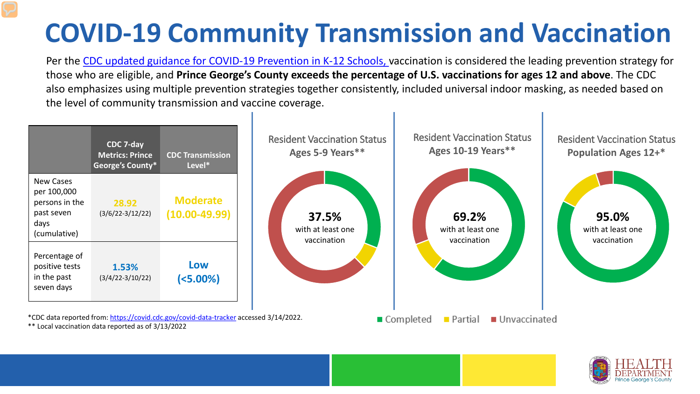# **COVID-19 Community Transmission and Vaccination**

Per the [CDC updated guidance for COVID-19 Prevention in K-12 Schools,](https://www.cdc.gov/coronavirus/2019-ncov/community/schools-childcare/k-12-guidance.html) vaccination is considered the leading prevention strategy for those who are eligible, and **Prince George's County exceeds the percentage of U.S. vaccinations for ages 12 and above**. The CDC also emphasizes using multiple prevention strategies together consistently, included universal indoor masking, as needed based on the level of community transmission and vaccine coverage.



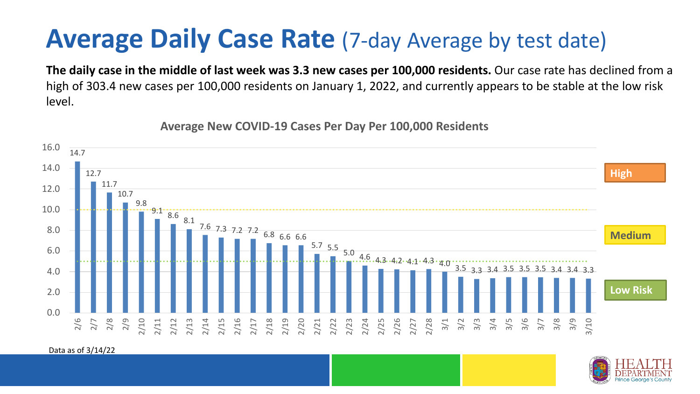### **Average Daily Case Rate** (7-day Average by test date)

**The daily case in the middle of last week was 3.3 new cases per 100,000 residents.** Our case rate has declined from a high of 303.4 new cases per 100,000 residents on January 1, 2022, and currently appears to be stable at the low risk level.

14.7 12.7 11.7 10.7 9.8  $9.1 \cdot 8.6 \cdot 8.1$ 7.6 7.3 7.2 7.2 6.8 6.6 6.6  $5.7$  5.5 5.0 4.6 4.3 4.2 4.1 4.3 4.0 3.5 3.3 3.4 3.5 0.0 2.0 4.0 6.0 8.0 10.0 12.0 14.0 16.0 2/6 2/7 2/8 2/9 2/10 2/11 2/12 2/13 2/14 2/15 2/16 2/17 2/18 2/19<br>2/21<br>2/22<br>2/23 2/24 2/25 2/26 2/27 2/28 3/3<br>3/3 3/4<br>3/3 3/4<br>3/3 3/5 2/5 3/8 3/9 3/10 **Low Risk Medium High**

**Average New COVID-19 Cases Per Day Per 100,000 Residents**

Data as of 3/14/22